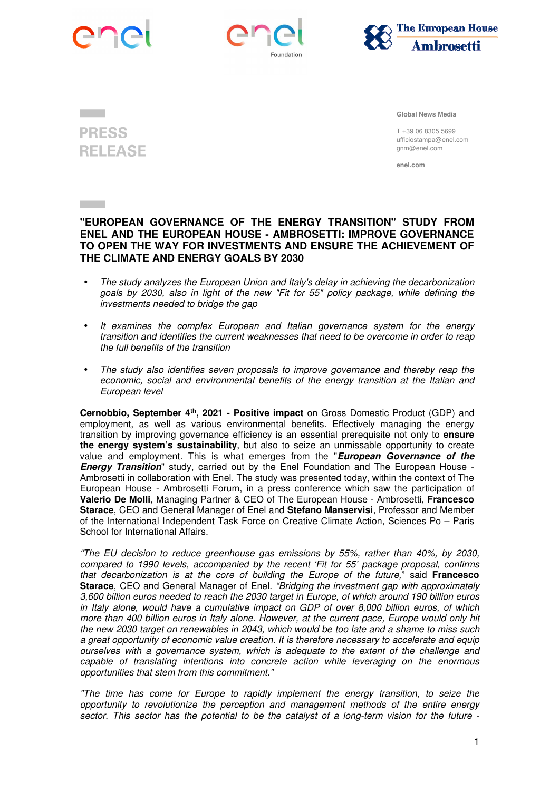







 **Global News Media** 

T +39 06 8305 5699 ufficiostampa@enel.com gnm@enel.com

**enel.com** 

## **"EUROPEAN GOVERNANCE OF THE ENERGY TRANSITION" STUDY FROM ENEL AND THE EUROPEAN HOUSE - AMBROSETTI: IMPROVE GOVERNANCE TO OPEN THE WAY FOR INVESTMENTS AND ENSURE THE ACHIEVEMENT OF THE CLIMATE AND ENERGY GOALS BY 2030**

- The study analyzes the European Union and Italy's delay in achieving the decarbonization goals by 2030, also in light of the new "Fit for 55" policy package, while defining the investments needed to bridge the gap
- It examines the complex European and Italian governance system for the energy transition and identifies the current weaknesses that need to be overcome in order to reap the full benefits of the transition
- The study also identifies seven proposals to improve governance and thereby reap the economic, social and environmental benefits of the energy transition at the Italian and European level

**Cernobbio, September 4th, 2021 - Positive impact** on Gross Domestic Product (GDP) and employment, as well as various environmental benefits. Effectively managing the energy transition by improving governance efficiency is an essential prerequisite not only to **ensure the energy system's sustainability**, but also to seize an unmissable opportunity to create value and employment. This is what emerges from the "**European Governance of the Energy Transition**" study, carried out by the Enel Foundation and The European House - Ambrosetti in collaboration with Enel. The study was presented today, within the context of The European House - Ambrosetti Forum, in a press conference which saw the participation of **Valerio De Molli**, Managing Partner & CEO of The European House - Ambrosetti, **Francesco Starace**, CEO and General Manager of Enel and **Stefano Manservisi**, Professor and Member of the International Independent Task Force on Creative Climate Action, Sciences Po – Paris School for International Affairs.

"The EU decision to reduce greenhouse gas emissions by 55%, rather than 40%, by 2030, compared to 1990 levels, accompanied by the recent 'Fit for 55' package proposal, confirms that decarbonization is at the core of building the Europe of the future," said **Francesco Starace**, CEO and General Manager of Enel. "Bridging the investment gap with approximately 3,600 billion euros needed to reach the 2030 target in Europe, of which around 190 billion euros in Italy alone, would have a cumulative impact on GDP of over 8,000 billion euros, of which more than 400 billion euros in Italy alone. However, at the current pace, Europe would only hit the new 2030 target on renewables in 2043, which would be too late and a shame to miss such a great opportunity of economic value creation. It is therefore necessary to accelerate and equip ourselves with a governance system, which is adequate to the extent of the challenge and capable of translating intentions into concrete action while leveraging on the enormous opportunities that stem from this commitment."

"The time has come for Europe to rapidly implement the energy transition, to seize the opportunity to revolutionize the perception and management methods of the entire energy sector. This sector has the potential to be the catalyst of a long-term vision for the future -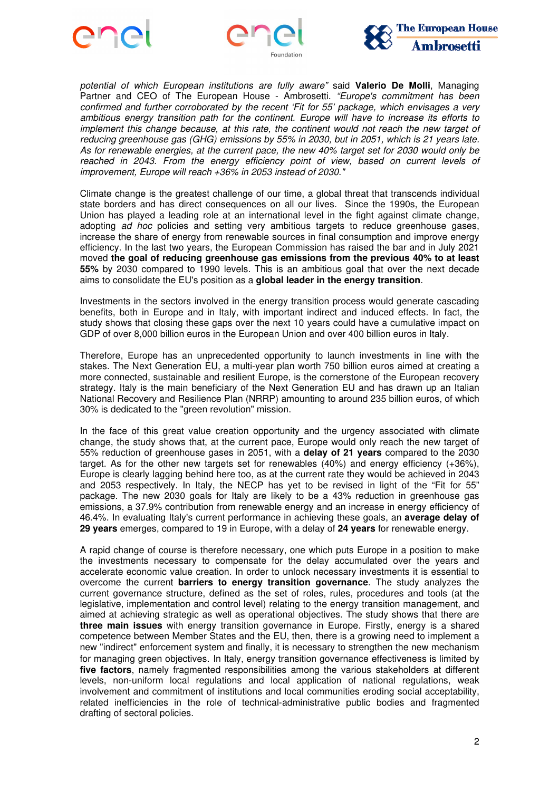





potential of which European institutions are fully aware" said **Valerio De Molli**, Managing Partner and CEO of The European House - Ambrosetti. "Europe's commitment has been confirmed and further corroborated by the recent 'Fit for 55' package, which envisages a very ambitious energy transition path for the continent. Europe will have to increase its efforts to implement this change because, at this rate, the continent would not reach the new target of reducing greenhouse gas (GHG) emissions by 55% in 2030, but in 2051, which is 21 years late. As for renewable energies, at the current pace, the new 40% target set for 2030 would only be reached in 2043. From the energy efficiency point of view, based on current levels of improvement, Europe will reach +36% in 2053 instead of 2030."

Climate change is the greatest challenge of our time, a global threat that transcends individual state borders and has direct consequences on all our lives. Since the 1990s, the European Union has played a leading role at an international level in the fight against climate change, adopting ad hoc policies and setting very ambitious targets to reduce greenhouse gases, increase the share of energy from renewable sources in final consumption and improve energy efficiency. In the last two years, the European Commission has raised the bar and in July 2021 moved **the goal of reducing greenhouse gas emissions from the previous 40% to at least 55%** by 2030 compared to 1990 levels. This is an ambitious goal that over the next decade aims to consolidate the EU's position as a **global leader in the energy transition**.

Investments in the sectors involved in the energy transition process would generate cascading benefits, both in Europe and in Italy, with important indirect and induced effects. In fact, the study shows that closing these gaps over the next 10 years could have a cumulative impact on GDP of over 8,000 billion euros in the European Union and over 400 billion euros in Italy.

Therefore, Europe has an unprecedented opportunity to launch investments in line with the stakes. The Next Generation EU, a multi-year plan worth 750 billion euros aimed at creating a more connected, sustainable and resilient Europe, is the cornerstone of the European recovery strategy. Italy is the main beneficiary of the Next Generation EU and has drawn up an Italian National Recovery and Resilience Plan (NRRP) amounting to around 235 billion euros, of which 30% is dedicated to the "green revolution" mission.

In the face of this great value creation opportunity and the urgency associated with climate change, the study shows that, at the current pace, Europe would only reach the new target of 55% reduction of greenhouse gases in 2051, with a **delay of 21 years** compared to the 2030 target. As for the other new targets set for renewables (40%) and energy efficiency (+36%), Europe is clearly lagging behind here too, as at the current rate they would be achieved in 2043 and 2053 respectively. In Italy, the NECP has yet to be revised in light of the "Fit for 55" package. The new 2030 goals for Italy are likely to be a 43% reduction in greenhouse gas emissions, a 37.9% contribution from renewable energy and an increase in energy efficiency of 46.4%. In evaluating Italy's current performance in achieving these goals, an **average delay of 29 years** emerges, compared to 19 in Europe, with a delay of **24 years** for renewable energy.

A rapid change of course is therefore necessary, one which puts Europe in a position to make the investments necessary to compensate for the delay accumulated over the years and accelerate economic value creation. In order to unlock necessary investments it is essential to overcome the current **barriers to energy transition governance**. The study analyzes the current governance structure, defined as the set of roles, rules, procedures and tools (at the legislative, implementation and control level) relating to the energy transition management, and aimed at achieving strategic as well as operational objectives. The study shows that there are **three main issues** with energy transition governance in Europe. Firstly, energy is a shared competence between Member States and the EU, then, there is a growing need to implement a new "indirect" enforcement system and finally, it is necessary to strengthen the new mechanism for managing green objectives. In Italy, energy transition governance effectiveness is limited by **five factors**, namely fragmented responsibilities among the various stakeholders at different levels, non-uniform local regulations and local application of national regulations, weak involvement and commitment of institutions and local communities eroding social acceptability, related inefficiencies in the role of technical-administrative public bodies and fragmented drafting of sectoral policies.